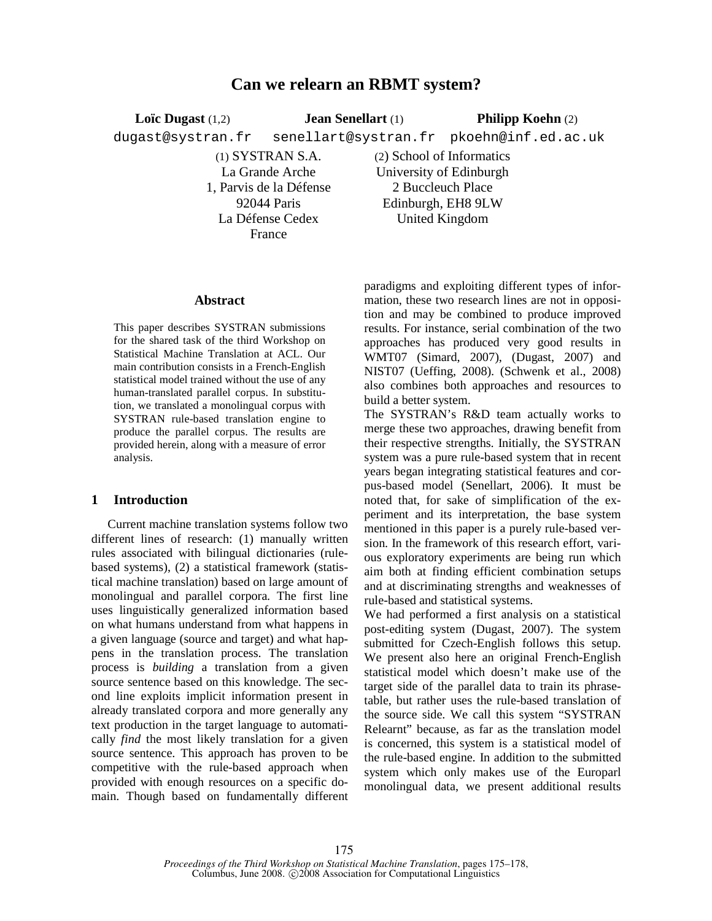# **Can we relearn an RBMT system?**

**Loïc Dugast** (1,2) dugast@systran.fr **Jean Senellart** (1) senellart@systran.fr pkoehn@inf.ed.ac.uk **Philipp Koehn** (2)

> (1) SYSTRAN S.A. La Grande Arche 1, Parvis de la Défense 92044 Paris La Défense Cedex France

(2) School of Informatics University of Edinburgh 2 Buccleuch Place Edinburgh, EH8 9LW United Kingdom

### **Abstract**

This paper describes SYSTRAN submissions for the shared task of the third Workshop on Statistical Machine Translation at ACL. Our main contribution consists in a French-English statistical model trained without the use of any human-translated parallel corpus. In substitution, we translated a monolingual corpus with SYSTRAN rule-based translation engine to produce the parallel corpus. The results are provided herein, along with a measure of error analysis.

### **1 Introduction**

Current machine translation systems follow two different lines of research: (1) manually written rules associated with bilingual dictionaries (rulebased systems), (2) a statistical framework (statistical machine translation) based on large amount of monolingual and parallel corpora. The first line uses linguistically generalized information based on what humans understand from what happens in a given language (source and target) and what happens in the translation process. The translation process is *building* a translation from a given source sentence based on this knowledge. The second line exploits implicit information present in already translated corpora and more generally any text production in the target language to automatically *find* the most likely translation for a given source sentence. This approach has proven to be competitive with the rule-based approach when provided with enough resources on a specific domain. Though based on fundamentally different paradigms and exploiting different types of information, these two research lines are not in opposition and may be combined to produce improved results. For instance, serial combination of the two approaches has produced very good results in WMT07 (Simard, 2007), (Dugast, 2007) and NIST07 (Ueffing, 2008). (Schwenk et al., 2008) also combines both approaches and resources to build a better system.

The SYSTRAN's R&D team actually works to merge these two approaches, drawing benefit from their respective strengths. Initially, the SYSTRAN system was a pure rule-based system that in recent years began integrating statistical features and corpus-based model (Senellart, 2006). It must be noted that, for sake of simplification of the experiment and its interpretation, the base system mentioned in this paper is a purely rule-based version. In the framework of this research effort, various exploratory experiments are being run which aim both at finding efficient combination setups and at discriminating strengths and weaknesses of rule-based and statistical systems.

We had performed a first analysis on a statistical post-editing system (Dugast, 2007). The system submitted for Czech-English follows this setup. We present also here an original French-English statistical model which doesn't make use of the target side of the parallel data to train its phrasetable, but rather uses the rule-based translation of the source side. We call this system "SYSTRAN Relearnt" because, as far as the translation model is concerned, this system is a statistical model of the rule-based engine. In addition to the submitted system which only makes use of the Europarl monolingual data, we present additional results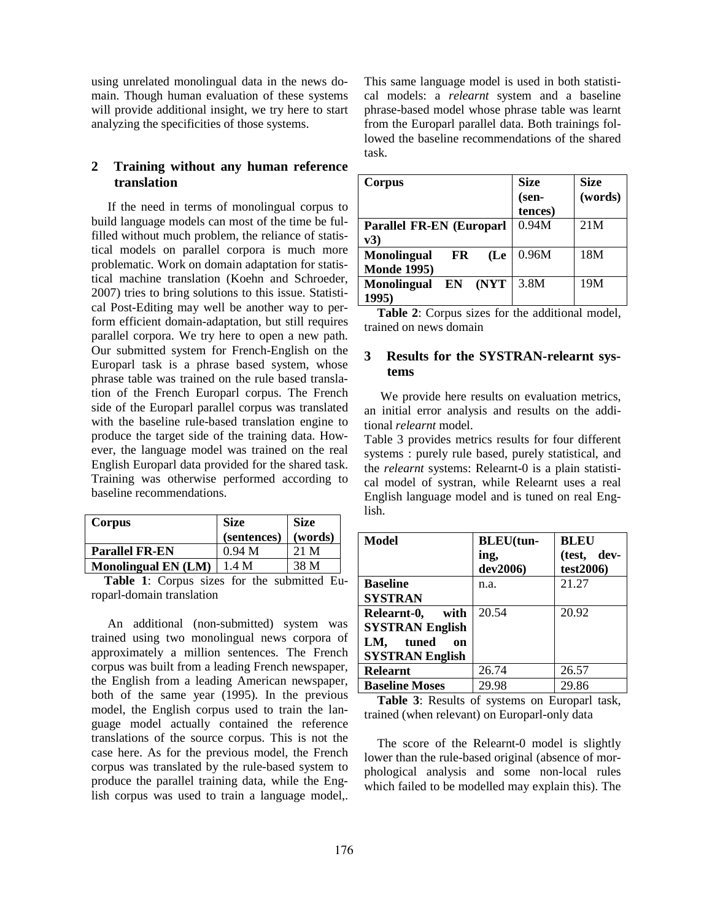using unrelated monolingual data in the news domain. Though human evaluation of these systems will provide additional insight, we try here to start analyzing the specificities of those systems.

# **2 Training without any human reference translation**

If the need in terms of monolingual corpus to build language models can most of the time be fulfilled without much problem, the reliance of statistical models on parallel corpora is much more problematic. Work on domain adaptation for statistical machine translation (Koehn and Schroeder, 2007) tries to bring solutions to this issue. Statistical Post-Editing may well be another way to perform efficient domain-adaptation, but still requires parallel corpora. We try here to open a new path. Our submitted system for French-English on the Europarl task is a phrase based system, whose phrase table was trained on the rule based translation of the French Europarl corpus. The French side of the Europarl parallel corpus was translated with the baseline rule-based translation engine to produce the target side of the training data. However, the language model was trained on the real English Europarl data provided for the shared task. Training was otherwise performed according to baseline recommendations.

| Corpus                     | <b>Size</b> | <b>Size</b> |
|----------------------------|-------------|-------------|
|                            | (sentences) | (words)     |
| <b>Parallel FR-EN</b>      | 0.94 M      | 21 M        |
| <b>Monolingual EN (LM)</b> | 1.4M        | 38 M        |

**Table 1**: Corpus sizes for the submitted Europarl-domain translation

An additional (non-submitted) system was trained using two monolingual news corpora of approximately a million sentences. The French corpus was built from a leading French newspaper, the English from a leading American newspaper, both of the same year (1995). In the previous model, the English corpus used to train the language model actually contained the reference translations of the source corpus. This is not the case here. As for the previous model, the French corpus was translated by the rule-based system to produce the parallel training data, while the English corpus was used to train a language model,.

This same language model is used in both statistical models: a *relearnt* system and a baseline phrase-based model whose phrase table was learnt from the Europarl parallel data. Both trainings followed the baseline recommendations of the shared task.

| Corpus                           | <b>Size</b><br>(sen- | <b>Size</b><br>(words) |
|----------------------------------|----------------------|------------------------|
|                                  | tences)              |                        |
| <b>Parallel FR-EN (Europarl</b>  | 0.94M                | 21M                    |
| $\mathbf{v3})$                   |                      |                        |
| <b>Monolingual</b><br>FR<br>(Le  | 0.96M                | 18M                    |
| <b>Monde 1995)</b>               |                      |                        |
| (NYT<br><b>Monolingual</b><br>EN | 3.8M                 | 19M                    |
| 1995)                            |                      |                        |

**Table 2**: Corpus sizes for the additional model, trained on news domain

### **3 Results for the SYSTRAN-relearnt systems**

We provide here results on evaluation metrics, an initial error analysis and results on the additional *relearnt* model.

Table 3 provides metrics results for four different systems : purely rule based, purely statistical, and the *relearnt* systems: Relearnt-0 is a plain statistical model of systran, while Relearnt uses a real English language model and is tuned on real English.

| <b>Model</b>           | <b>BLEU(tun-</b> | <b>BLEU</b> |
|------------------------|------------------|-------------|
|                        | ing,             | (test, dev- |
|                        | dev2006)         | test2006)   |
| <b>Baseline</b>        | n.a.             | 21.27       |
| <b>SYSTRAN</b>         |                  |             |
| Relearnt-0,<br>with    | 20.54            | 20.92       |
| <b>SYSTRAN English</b> |                  |             |
| LM,<br>tuned<br>on     |                  |             |
| <b>SYSTRAN English</b> |                  |             |
| <b>Relearnt</b>        | 26.74            | 26.57       |
| <b>Baseline Moses</b>  | 29.98            | 29.86       |

**Table 3**: Results of systems on Europarl task, trained (when relevant) on Europarl-only data

The score of the Relearnt-0 model is slightly lower than the rule-based original (absence of morphological analysis and some non-local rules which failed to be modelled may explain this). The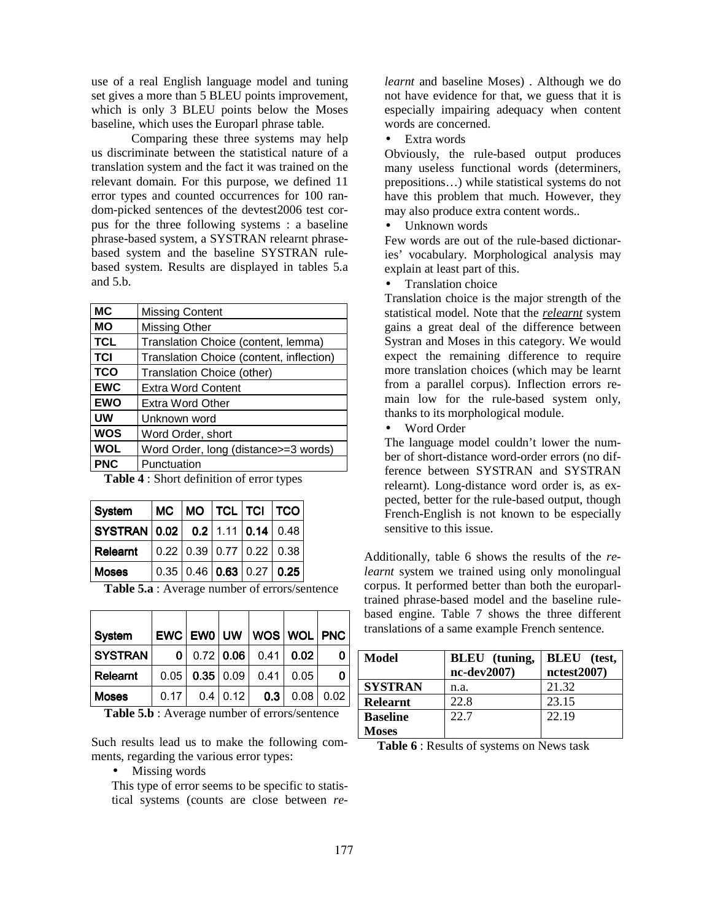use of a real English language model and tuning set gives a more than 5 BLEU points improvement, which is only 3 BLEU points below the Moses baseline, which uses the Europarl phrase table.

Comparing these three systems may help us discriminate between the statistical nature of a translation system and the fact it was trained on the relevant domain. For this purpose, we defined 11 error types and counted occurrences for 100 random-picked sentences of the devtest2006 test corpus for the three following systems : a baseline phrase-based system, a SYSTRAN relearnt phrasebased system and the baseline SYSTRAN rulebased system. Results are displayed in tables 5.a and 5.b.

| <b>MC</b>  | <b>Missing Content</b>                   |
|------------|------------------------------------------|
| <b>MO</b>  | Missing Other                            |
| <b>TCL</b> | Translation Choice (content, lemma)      |
| <b>TCI</b> | Translation Choice (content, inflection) |
| <b>TCO</b> | Translation Choice (other)               |
| <b>EWC</b> | <b>Extra Word Content</b>                |
| <b>EWO</b> | Extra Word Other                         |
| UW         | Unknown word                             |
| <b>WOS</b> | Word Order, short                        |
| <b>WOL</b> | Word Order, long (distance>=3 words)     |
| <b>PNC</b> | Punctuation                              |

**Table 4** : Short definition of error types

| System                          |  |  | MC MO TCL TCI TCO                                              |
|---------------------------------|--|--|----------------------------------------------------------------|
| SYSTRAN 0.02 0.2 1.11 0.14 0.48 |  |  |                                                                |
| Relearnt                        |  |  | $\vert 0.22 \vert 0.39 \vert 0.77 \vert 0.22 \vert 0.38 \vert$ |
| <b>Moses</b>                    |  |  | 0.35   0.46   0.63   0.27   0.25                               |

**Table 5.a** : Average number of errors/sentence

| <b>System</b>  |      |            | $EWC$ $EWO$ $UW$ $WOS$ $WOL$ $PNC$ |      |      |
|----------------|------|------------|------------------------------------|------|------|
| <b>SYSTRAN</b> |      |            | 0   0.72   0.06   0.41   0.02      |      |      |
| Relearnt       |      |            | $0.05$   0.35   0.09   0.41   0.05 |      |      |
| <b>Moses</b>   | 0.17 | $0.4$ 0.12 | 0.3 <sub>1</sub>                   | 0.08 | 0.02 |

**Table 5.b** : Average number of errors/sentence

Such results lead us to make the following comments, regarding the various error types:

• Missing words

This type of error seems to be specific to statistical systems (counts are close between *re-* *learnt* and baseline Moses) . Although we do not have evidence for that, we guess that it is especially impairing adequacy when content words are concerned.

• Extra words

Obviously, the rule-based output produces many useless functional words (determiners, prepositions…) while statistical systems do not have this problem that much. However, they may also produce extra content words..

• Unknown words

Few words are out of the rule-based dictionaries' vocabulary. Morphological analysis may explain at least part of this.

• Translation choice

Translation choice is the major strength of the statistical model. Note that the *relearnt* system gains a great deal of the difference between Systran and Moses in this category. We would expect the remaining difference to require more translation choices (which may be learnt from a parallel corpus). Inflection errors remain low for the rule-based system only, thanks to its morphological module.

• Word Order

The language model couldn't lower the number of short-distance word-order errors (no difference between SYSTRAN and SYSTRAN relearnt). Long-distance word order is, as expected, better for the rule-based output, though French-English is not known to be especially sensitive to this issue.

Additionally, table 6 shows the results of the *relearnt* system we trained using only monolingual corpus. It performed better than both the europarltrained phrase-based model and the baseline rulebased engine. Table 7 shows the three different translations of a same example French sentence.

| Model           | <b>BLEU</b> (tuning, | <b>BLEU</b> (test, |
|-----------------|----------------------|--------------------|
|                 | nc-dev2007)          | nctest2007         |
| <b>SYSTRAN</b>  | n.a.                 | 21.32              |
| <b>Relearnt</b> | 22.8                 | 23.15              |
| <b>Baseline</b> | 22.7                 | 22.19              |
| Moses           |                      |                    |

**Table 6** : Results of systems on News task